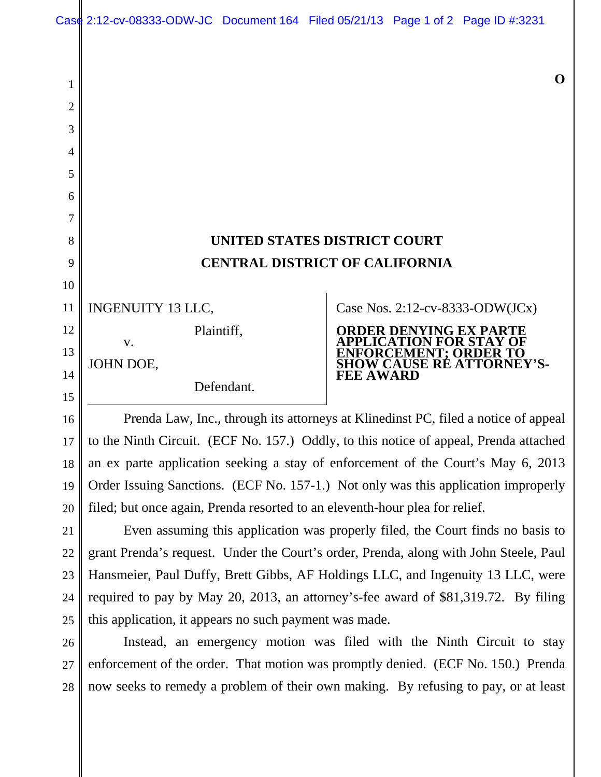## **UNITED STATES DISTRICT COURT CENTRAL DISTRICT OF CALIFORNIA**

INGENUITY 13 LLC, Plaintiff,

Defendant.

JOHN DOE,

v.

Case Nos. 2:12-cv-8333-ODW(JCx)



Prenda Law, Inc., through its attorneys at Klinedinst PC, filed a notice of appeal to the Ninth Circuit. (ECF No. 157.) Oddly, to this notice of appeal, Prenda attached an ex parte application seeking a stay of enforcement of the Court's May 6, 2013 Order Issuing Sanctions. (ECF No. 157-1.) Not only was this application improperly filed; but once again, Prenda resorted to an eleventh-hour plea for relief.

Even assuming this application was properly filed, the Court finds no basis to grant Prenda's request. Under the Court's order, Prenda, along with John Steele, Paul Hansmeier, Paul Duffy, Brett Gibbs, AF Holdings LLC, and Ingenuity 13 LLC, were required to pay by May 20, 2013, an attorney's-fee award of \$81,319.72. By filing this application, it appears no such payment was made.

Instead, an emergency motion was filed with the Ninth Circuit to stay enforcement of the order. That motion was promptly denied. (ECF No. 150.) Prenda now seeks to remedy a problem of their own making. By refusing to pay, or at least

1

2

3

4

5

**O**